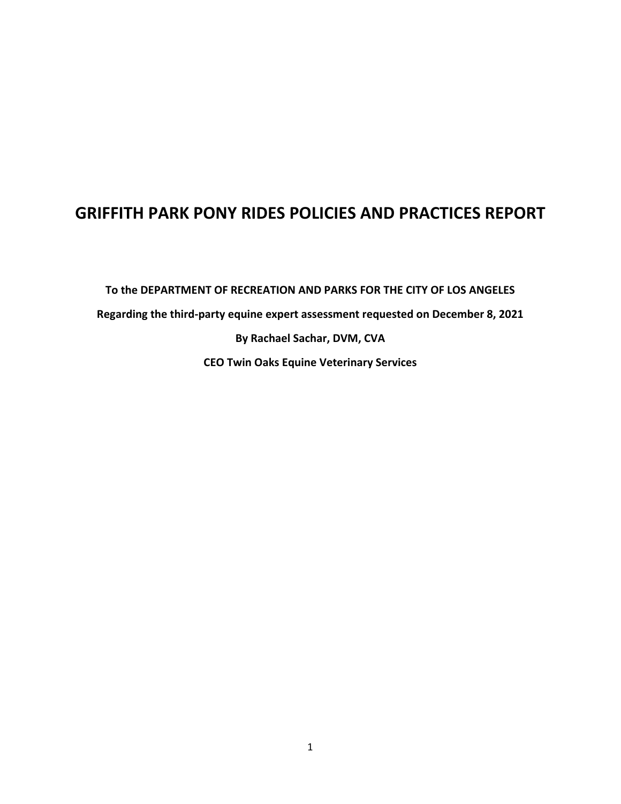## **GRIFFITH PARK PONY RIDES POLICIES AND PRACTICES REPORT**

**To the DEPARTMENT OF RECREATION AND PARKS FOR THE CITY OF LOS ANGELES Regarding the third-party equine expert assessment requested on December 8, 2021 By Rachael Sachar, DVM, CVA CEO Twin Oaks Equine Veterinary Services**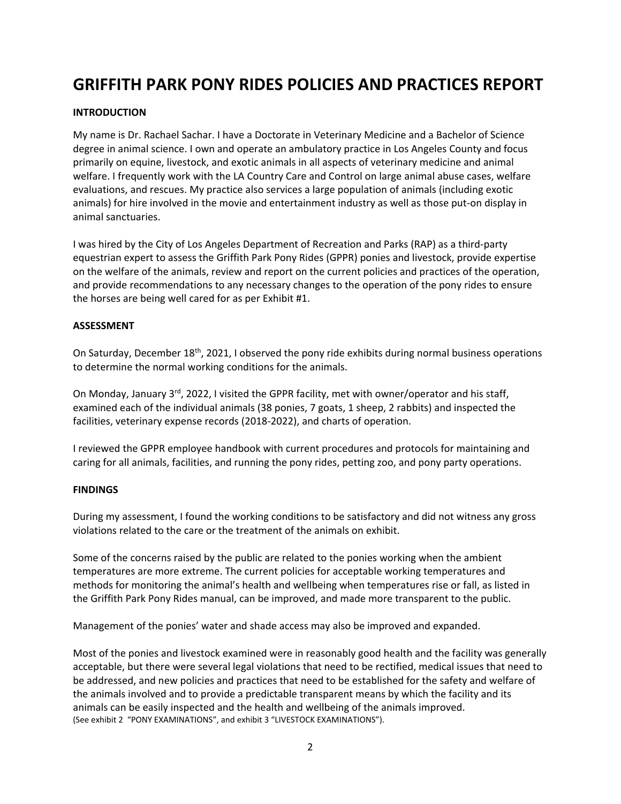# **GRIFFITH PARK PONY RIDES POLICIES AND PRACTICES REPORT**

## **INTRODUCTION**

My name is Dr. Rachael Sachar. I have a Doctorate in Veterinary Medicine and a Bachelor of Science degree in animal science. I own and operate an ambulatory practice in Los Angeles County and focus primarily on equine, livestock, and exotic animals in all aspects of veterinary medicine and animal welfare. I frequently work with the LA Country Care and Control on large animal abuse cases, welfare evaluations, and rescues. My practice also services a large population of animals (including exotic animals) for hire involved in the movie and entertainment industry as well as those put-on display in animal sanctuaries.

I was hired by the City of Los Angeles Department of Recreation and Parks (RAP) as a third-party equestrian expert to assess the Griffith Park Pony Rides (GPPR) ponies and livestock, provide expertise on the welfare of the animals, review and report on the current policies and practices of the operation, and provide recommendations to any necessary changes to the operation of the pony rides to ensure the horses are being well cared for as per Exhibit #1.

## **ASSESSMENT**

On Saturday, December 18<sup>th</sup>, 2021, I observed the pony ride exhibits during normal business operations to determine the normal working conditions for the animals.

On Monday, January 3<sup>rd</sup>, 2022, I visited the GPPR facility, met with owner/operator and his staff, examined each of the individual animals (38 ponies, 7 goats, 1 sheep, 2 rabbits) and inspected the facilities, veterinary expense records (2018-2022), and charts of operation.

I reviewed the GPPR employee handbook with current procedures and protocols for maintaining and caring for all animals, facilities, and running the pony rides, petting zoo, and pony party operations.

#### **FINDINGS**

During my assessment, I found the working conditions to be satisfactory and did not witness any gross violations related to the care or the treatment of the animals on exhibit.

Some of the concerns raised by the public are related to the ponies working when the ambient temperatures are more extreme. The current policies for acceptable working temperatures and methods for monitoring the animal's health and wellbeing when temperatures rise or fall, as listed in the Griffith Park Pony Rides manual, can be improved, and made more transparent to the public.

Management of the ponies' water and shade access may also be improved and expanded.

Most of the ponies and livestock examined were in reasonably good health and the facility was generally acceptable, but there were several legal violations that need to be rectified, medical issues that need to be addressed, and new policies and practices that need to be established for the safety and welfare of the animals involved and to provide a predictable transparent means by which the facility and its animals can be easily inspected and the health and wellbeing of the animals improved. (See exhibit 2 "PONY EXAMINATIONS", and exhibit 3 "LIVESTOCK EXAMINATIONS").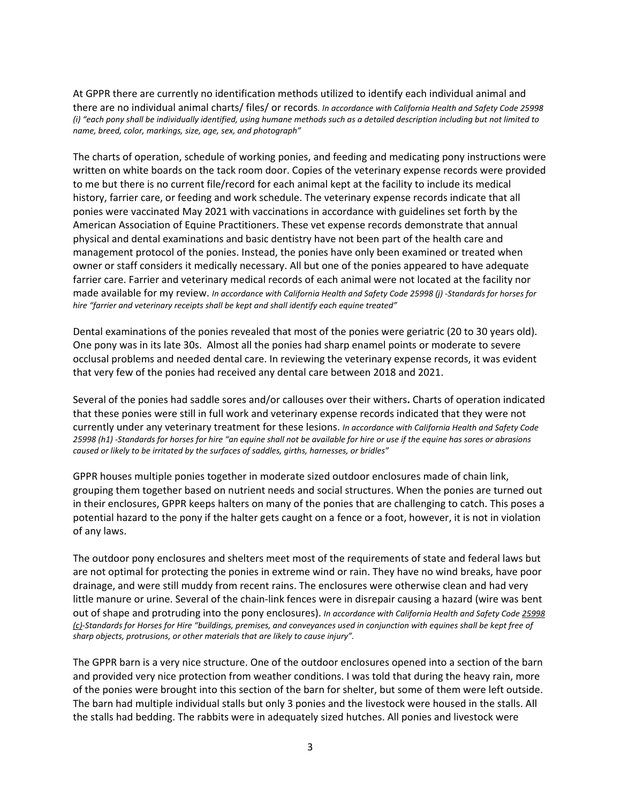At GPPR there are currently no identification methods utilized to identify each individual animal and there are no individual animal charts/ files/ or records*. In accordance with California Health and Safety Code 25998 (i) "each pony shall be individually identified, using humane methods such as a detailed description including but not limited to name, breed, color, markings, size, age, sex, and photograph"*

The charts of operation, schedule of working ponies, and feeding and medicating pony instructions were written on white boards on the tack room door. Copies of the veterinary expense records were provided to me but there is no current file/record for each animal kept at the facility to include its medical history, farrier care, or feeding and work schedule. The veterinary expense records indicate that all ponies were vaccinated May 2021 with vaccinations in accordance with guidelines set forth by the American Association of Equine Practitioners. These vet expense records demonstrate that annual physical and dental examinations and basic dentistry have not been part of the health care and management protocol of the ponies. Instead, the ponies have only been examined or treated when owner or staff considers it medically necessary. All but one of the ponies appeared to have adequate farrier care. Farrier and veterinary medical records of each animal were not located at the facility nor made available for my review. *In accordance with California Health and Safety Code 25998 (j) -Standards for horses for hire "farrier and veterinary receipts shall be kept and shall identify each equine treated"*

Dental examinations of the ponies revealed that most of the ponies were geriatric (20 to 30 years old). One pony was in its late 30s. Almost all the ponies had sharp enamel points or moderate to severe occlusal problems and needed dental care. In reviewing the veterinary expense records, it was evident that very few of the ponies had received any dental care between 2018 and 2021.

Several of the ponies had saddle sores and/or callouses over their withers**.** Charts of operation indicated that these ponies were still in full work and veterinary expense records indicated that they were not currently under any veterinary treatment for these lesions. *In accordance with California Health and Safety Code 25998 (h1) -Standards for horses for hire "an equine shall not be available for hire or use if the equine has sores or abrasions caused or likely to be irritated by the surfaces of saddles, girths, harnesses, or bridles"*

GPPR houses multiple ponies together in moderate sized outdoor enclosures made of chain link, grouping them together based on nutrient needs and social structures. When the ponies are turned out in their enclosures, GPPR keeps halters on many of the ponies that are challenging to catch. This poses a potential hazard to the pony if the halter gets caught on a fence or a foot, however, it is not in violation of any laws.

The outdoor pony enclosures and shelters meet most of the requirements of state and federal laws but are not optimal for protecting the ponies in extreme wind or rain. They have no wind breaks, have poor drainage, and were still muddy from recent rains. The enclosures were otherwise clean and had very little manure or urine. Several of the chain-link fences were in disrepair causing a hazard (wire was bent out of shape and protruding into the pony enclosures). *In accordance with California Health and Safety Code 25998 (c)-Standards for Horses for Hire "buildings, premises, and conveyances used in conjunction with equines shall be kept free of sharp objects, protrusions, or other materials that are likely to cause injury".*

The GPPR barn is a very nice structure. One of the outdoor enclosures opened into a section of the barn and provided very nice protection from weather conditions. I was told that during the heavy rain, more of the ponies were brought into this section of the barn for shelter, but some of them were left outside. The barn had multiple individual stalls but only 3 ponies and the livestock were housed in the stalls. All the stalls had bedding. The rabbits were in adequately sized hutches. All ponies and livestock were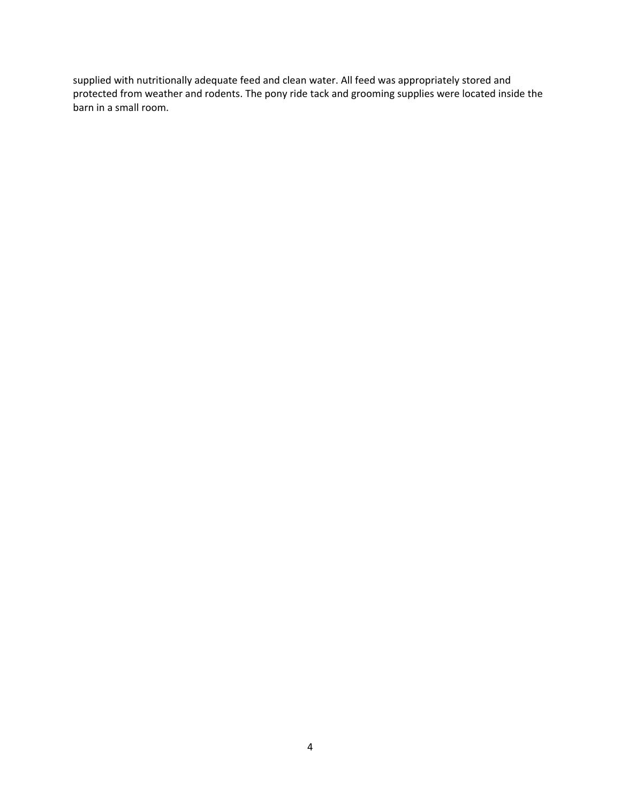supplied with nutritionally adequate feed and clean water. All feed was appropriately stored and protected from weather and rodents. The pony ride tack and grooming supplies were located inside the barn in a small room.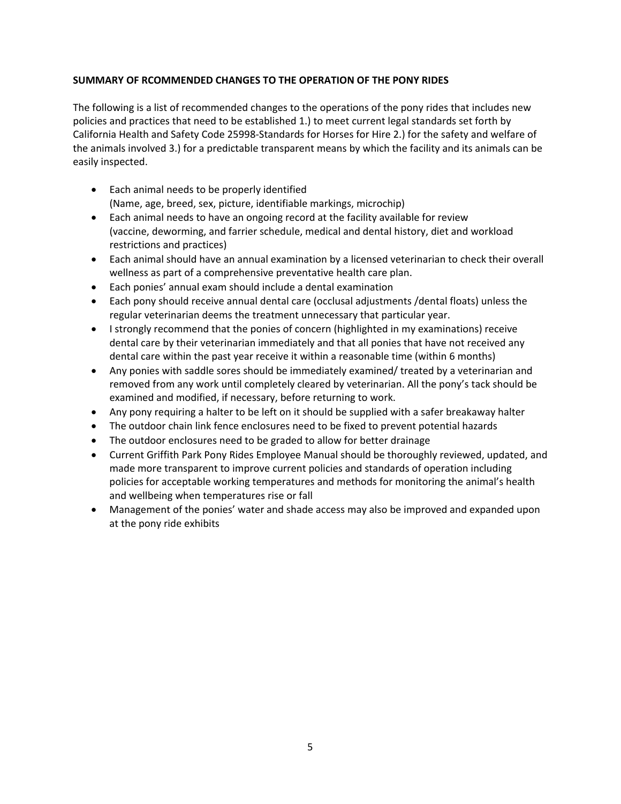## **SUMMARY OF RCOMMENDED CHANGES TO THE OPERATION OF THE PONY RIDES**

The following is a list of recommended changes to the operations of the pony rides that includes new policies and practices that need to be established 1.) to meet current legal standards set forth by California Health and Safety Code 25998-Standards for Horses for Hire 2.) for the safety and welfare of the animals involved 3.) for a predictable transparent means by which the facility and its animals can be easily inspected.

- Each animal needs to be properly identified (Name, age, breed, sex, picture, identifiable markings, microchip)
- Each animal needs to have an ongoing record at the facility available for review (vaccine, deworming, and farrier schedule, medical and dental history, diet and workload restrictions and practices)
- Each animal should have an annual examination by a licensed veterinarian to check their overall wellness as part of a comprehensive preventative health care plan.
- Each ponies' annual exam should include a dental examination
- Each pony should receive annual dental care (occlusal adjustments /dental floats) unless the regular veterinarian deems the treatment unnecessary that particular year.
- I strongly recommend that the ponies of concern (highlighted in my examinations) receive dental care by their veterinarian immediately and that all ponies that have not received any dental care within the past year receive it within a reasonable time (within 6 months)
- Any ponies with saddle sores should be immediately examined/ treated by a veterinarian and removed from any work until completely cleared by veterinarian. All the pony's tack should be examined and modified, if necessary, before returning to work.
- Any pony requiring a halter to be left on it should be supplied with a safer breakaway halter
- The outdoor chain link fence enclosures need to be fixed to prevent potential hazards
- The outdoor enclosures need to be graded to allow for better drainage
- Current Griffith Park Pony Rides Employee Manual should be thoroughly reviewed, updated, and made more transparent to improve current policies and standards of operation including policies for acceptable working temperatures and methods for monitoring the animal's health and wellbeing when temperatures rise or fall
- Management of the ponies' water and shade access may also be improved and expanded upon at the pony ride exhibits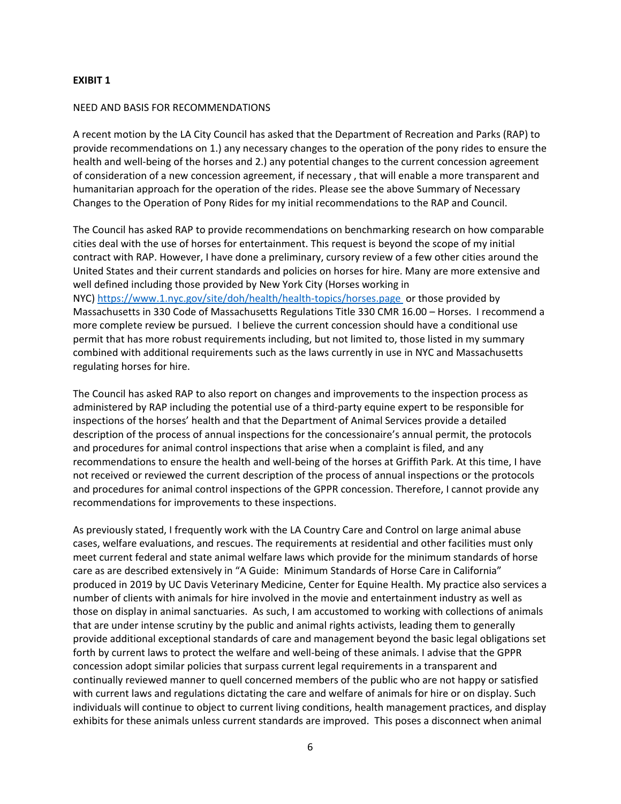#### **EXIBIT 1**

#### NEED AND BASIS FOR RECOMMENDATIONS

A recent motion by the LA City Council has asked that the Department of Recreation and Parks (RAP) to provide recommendations on 1.) any necessary changes to the operation of the pony rides to ensure the health and well-being of the horses and 2.) any potential changes to the current concession agreement of consideration of a new concession agreement, if necessary , that will enable a more transparent and humanitarian approach for the operation of the rides. Please see the above Summary of Necessary Changes to the Operation of Pony Rides for my initial recommendations to the RAP and Council.

The Council has asked RAP to provide recommendations on benchmarking research on how comparable cities deal with the use of horses for entertainment. This request is beyond the scope of my initial contract with RAP. However, I have done a preliminary, cursory review of a few other cities around the United States and their current standards and policies on horses for hire. Many are more extensive and well defined including those provided by New York City (Horses working in NYC)<https://www.1.nyc.gov/site/doh/health/health-topics/horses.page>or those provided by Massachusetts in 330 Code of Massachusetts Regulations Title 330 CMR 16.00 – Horses. I recommend a more complete review be pursued. I believe the current concession should have a conditional use permit that has more robust requirements including, but not limited to, those listed in my summary combined with additional requirements such as the laws currently in use in NYC and Massachusetts regulating horses for hire.

The Council has asked RAP to also report on changes and improvements to the inspection process as administered by RAP including the potential use of a third-party equine expert to be responsible for inspections of the horses' health and that the Department of Animal Services provide a detailed description of the process of annual inspections for the concessionaire's annual permit, the protocols and procedures for animal control inspections that arise when a complaint is filed, and any recommendations to ensure the health and well-being of the horses at Griffith Park. At this time, I have not received or reviewed the current description of the process of annual inspections or the protocols and procedures for animal control inspections of the GPPR concession. Therefore, I cannot provide any recommendations for improvements to these inspections.

As previously stated, I frequently work with the LA Country Care and Control on large animal abuse cases, welfare evaluations, and rescues. The requirements at residential and other facilities must only meet current federal and state animal welfare laws which provide for the minimum standards of horse care as are described extensively in "A Guide: Minimum Standards of Horse Care in California" produced in 2019 by UC Davis Veterinary Medicine, Center for Equine Health. My practice also services a number of clients with animals for hire involved in the movie and entertainment industry as well as those on display in animal sanctuaries. As such, I am accustomed to working with collections of animals that are under intense scrutiny by the public and animal rights activists, leading them to generally provide additional exceptional standards of care and management beyond the basic legal obligations set forth by current laws to protect the welfare and well-being of these animals. I advise that the GPPR concession adopt similar policies that surpass current legal requirements in a transparent and continually reviewed manner to quell concerned members of the public who are not happy or satisfied with current laws and regulations dictating the care and welfare of animals for hire or on display. Such individuals will continue to object to current living conditions, health management practices, and display exhibits for these animals unless current standards are improved. This poses a disconnect when animal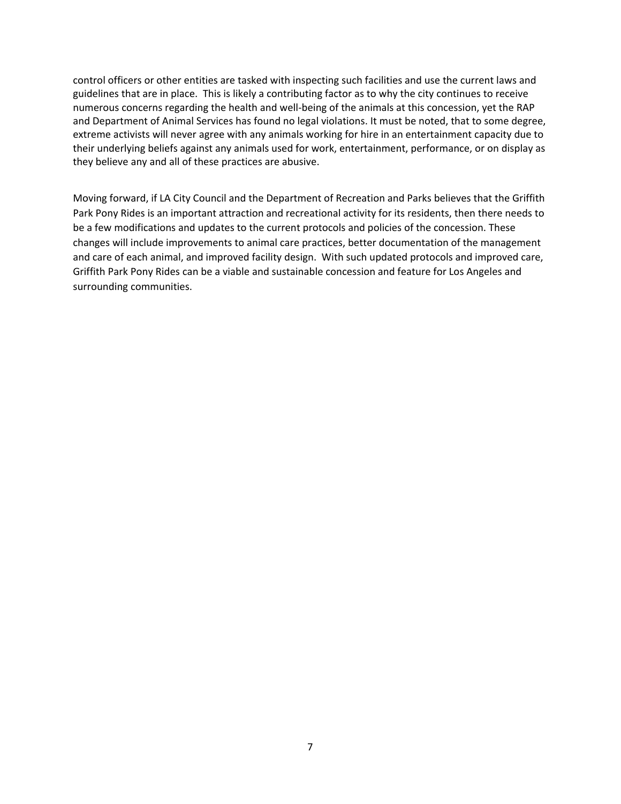control officers or other entities are tasked with inspecting such facilities and use the current laws and guidelines that are in place. This is likely a contributing factor as to why the city continues to receive numerous concerns regarding the health and well-being of the animals at this concession, yet the RAP and Department of Animal Services has found no legal violations. It must be noted, that to some degree, extreme activists will never agree with any animals working for hire in an entertainment capacity due to their underlying beliefs against any animals used for work, entertainment, performance, or on display as they believe any and all of these practices are abusive.

Moving forward, if LA City Council and the Department of Recreation and Parks believes that the Griffith Park Pony Rides is an important attraction and recreational activity for its residents, then there needs to be a few modifications and updates to the current protocols and policies of the concession. These changes will include improvements to animal care practices, better documentation of the management and care of each animal, and improved facility design. With such updated protocols and improved care, Griffith Park Pony Rides can be a viable and sustainable concession and feature for Los Angeles and surrounding communities.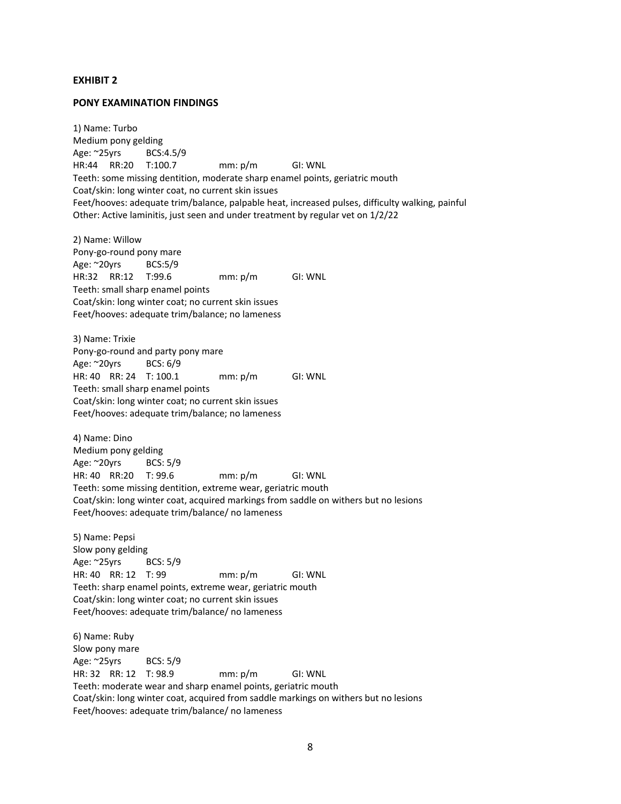#### **EXHIBIT 2**

#### **PONY EXAMINATION FINDINGS**

1) Name: Turbo Medium pony gelding Age: ~25yrs BCS:4.5/9 HR:44 RR:20 T:100.7 mm: p/m GI: WNL Teeth: some missing dentition, moderate sharp enamel points, geriatric mouth Coat/skin: long winter coat, no current skin issues Feet/hooves: adequate trim/balance, palpable heat, increased pulses, difficulty walking, painful Other: Active laminitis, just seen and under treatment by regular vet on 1/2/22

2) Name: Willow Pony-go-round pony mare Age: ~20yrs BCS:5/9 HR:32 RR:12 T:99.6 mm: p/m GI: WNL Teeth: small sharp enamel points Coat/skin: long winter coat; no current skin issues Feet/hooves: adequate trim/balance; no lameness

3) Name: Trixie Pony-go-round and party pony mare Age: ~20yrs BCS: 6/9 HR: 40 RR: 24 T: 100.1 mm: p/m GI: WNL Teeth: small sharp enamel points Coat/skin: long winter coat; no current skin issues Feet/hooves: adequate trim/balance; no lameness

4) Name: Dino Medium pony gelding Age: ~20yrs BCS: 5/9 HR: 40 RR:20 T: 99.6 mm: p/m GI: WNL Teeth: some missing dentition, extreme wear, geriatric mouth Coat/skin: long winter coat, acquired markings from saddle on withers but no lesions Feet/hooves: adequate trim/balance/ no lameness

5) Name: Pepsi Slow pony gelding Age: ~25yrs BCS: 5/9 HR: 40 RR: 12 T: 99 mm: p/m GI: WNL Teeth: sharp enamel points, extreme wear, geriatric mouth Coat/skin: long winter coat; no current skin issues Feet/hooves: adequate trim/balance/ no lameness

6) Name: Ruby Slow pony mare Age: ~25yrs BCS: 5/9 HR: 32 RR: 12 T: 98.9 mm: p/m GI: WNL Teeth: moderate wear and sharp enamel points, geriatric mouth Coat/skin: long winter coat, acquired from saddle markings on withers but no lesions Feet/hooves: adequate trim/balance/ no lameness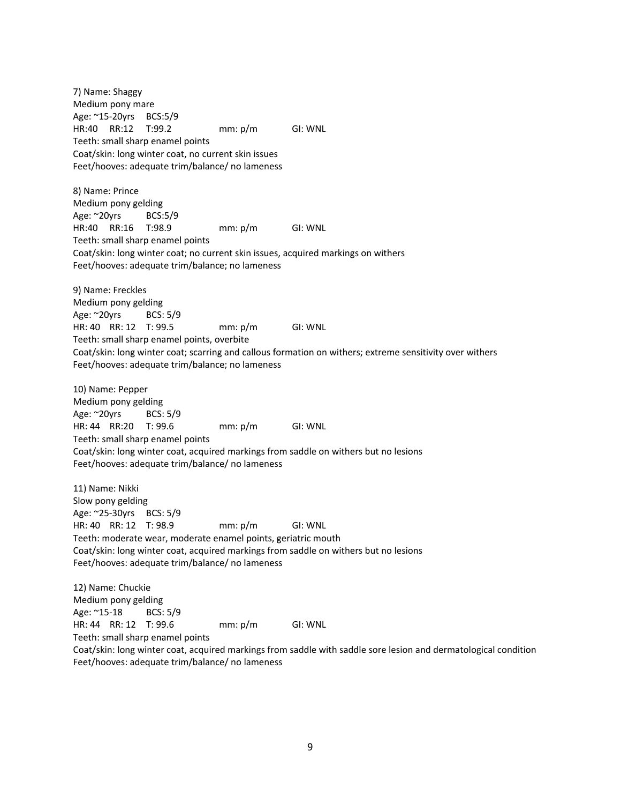7) Name: Shaggy Medium pony mare Age: ~15-20yrs BCS:5/9 HR:40 RR:12 T:99.2 mm: p/m GI: WNL Teeth: small sharp enamel points Coat/skin: long winter coat, no current skin issues Feet/hooves: adequate trim/balance/ no lameness

8) Name: Prince Medium pony gelding Age: ~20yrs BCS:5/9 HR:40 RR:16 T:98.9 mm: p/m GI: WNL Teeth: small sharp enamel points Coat/skin: long winter coat; no current skin issues, acquired markings on withers Feet/hooves: adequate trim/balance; no lameness

9) Name: Freckles Medium pony gelding Age: ~20yrs BCS: 5/9 HR: 40 RR: 12 T: 99.5 mm: p/m GI: WNL Teeth: small sharp enamel points, overbite Coat/skin: long winter coat; scarring and callous formation on withers; extreme sensitivity over withers Feet/hooves: adequate trim/balance; no lameness

10) Name: Pepper Medium pony gelding Age: ~20yrs BCS: 5/9 HR: 44 RR:20 T: 99.6 mm: p/m GI: WNL Teeth: small sharp enamel points Coat/skin: long winter coat, acquired markings from saddle on withers but no lesions Feet/hooves: adequate trim/balance/ no lameness

11) Name: Nikki Slow pony gelding Age: ~25-30yrs BCS: 5/9 HR: 40 RR: 12 T: 98.9 mm: p/m GI: WNL Teeth: moderate wear, moderate enamel points, geriatric mouth Coat/skin: long winter coat, acquired markings from saddle on withers but no lesions Feet/hooves: adequate trim/balance/ no lameness

12) Name: Chuckie Medium pony gelding Age: ~15-18 BCS: 5/9 HR: 44 RR: 12 T: 99.6 mm: p/m GI: WNL Teeth: small sharp enamel points Coat/skin: long winter coat, acquired markings from saddle with saddle sore lesion and dermatological condition Feet/hooves: adequate trim/balance/ no lameness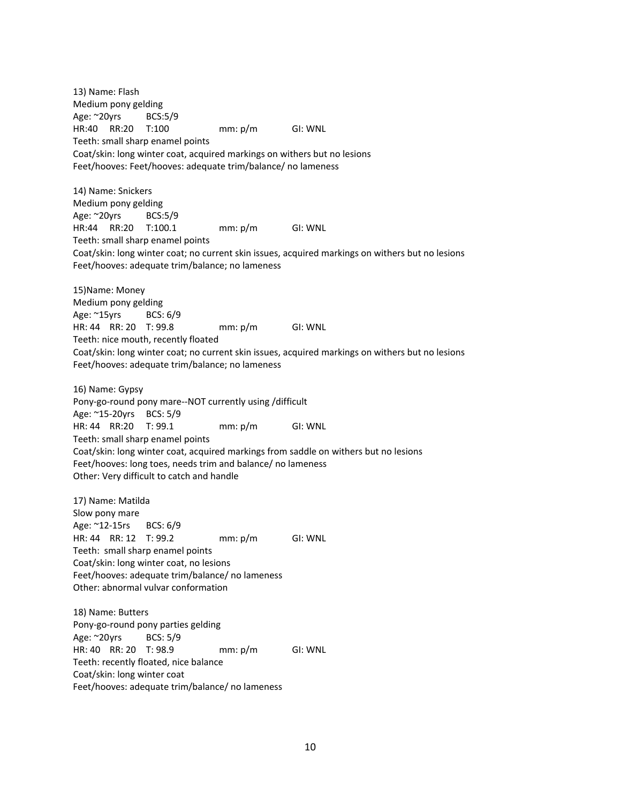13) Name: Flash Medium pony gelding Age: ~20yrs BCS:5/9 HR:40 RR:20 T:100 mm: p/m GI: WNL Teeth: small sharp enamel points Coat/skin: long winter coat, acquired markings on withers but no lesions Feet/hooves: Feet/hooves: adequate trim/balance/ no lameness

14) Name: Snickers Medium pony gelding Age: ~20yrs BCS:5/9 HR:44 RR:20 T:100.1 mm: p/m GI: WNL Teeth: small sharp enamel points Coat/skin: long winter coat; no current skin issues, acquired markings on withers but no lesions Feet/hooves: adequate trim/balance; no lameness

15)Name: Money Medium pony gelding Age: ~15yrs BCS: 6/9 HR: 44 RR: 20 T: 99.8 mm: p/m GI: WNL Teeth: nice mouth, recently floated Coat/skin: long winter coat; no current skin issues, acquired markings on withers but no lesions Feet/hooves: adequate trim/balance; no lameness

16) Name: Gypsy Pony-go-round pony mare--NOT currently using /difficult Age: ~15-20yrs BCS: 5/9 HR: 44 RR:20 T: 99.1 mm: p/m GI: WNL Teeth: small sharp enamel points Coat/skin: long winter coat, acquired markings from saddle on withers but no lesions Feet/hooves: long toes, needs trim and balance/ no lameness Other: Very difficult to catch and handle

17) Name: Matilda Slow pony mare Age: ~12-15rs BCS: 6/9 HR: 44 RR: 12 T: 99.2 mm: p/m GI: WNL Teeth: small sharp enamel points Coat/skin: long winter coat, no lesions Feet/hooves: adequate trim/balance/ no lameness Other: abnormal vulvar conformation

18) Name: Butters Pony-go-round pony parties gelding Age: ~20yrs BCS: 5/9 HR: 40 RR: 20 T: 98.9 mm: p/m GI: WNL Teeth: recently floated, nice balance Coat/skin: long winter coat Feet/hooves: adequate trim/balance/ no lameness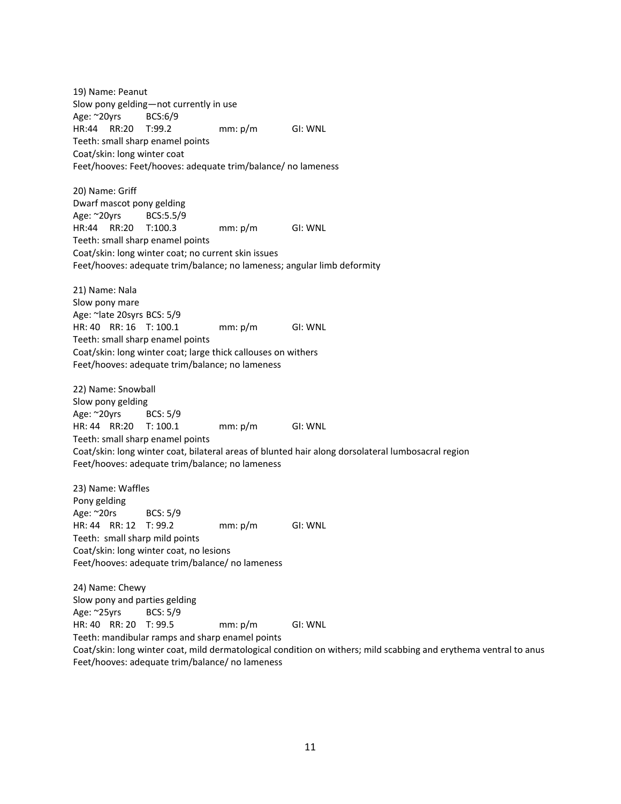19) Name: Peanut Slow pony gelding—not currently in use Age: ~20yrs BCS:6/9 HR:44 RR:20 T:99.2 mm: p/m GI: WNL Teeth: small sharp enamel points Coat/skin: long winter coat Feet/hooves: Feet/hooves: adequate trim/balance/ no lameness

20) Name: Griff Dwarf mascot pony gelding Age: ~20yrs BCS:5.5/9 HR:44 RR:20 T:100.3 mm: p/m GI: WNL Teeth: small sharp enamel points Coat/skin: long winter coat; no current skin issues Feet/hooves: adequate trim/balance; no lameness; angular limb deformity

21) Name: Nala Slow pony mare Age: ~late 20syrs BCS: 5/9 HR: 40 RR: 16 T: 100.1 mm: p/m GI: WNL Teeth: small sharp enamel points Coat/skin: long winter coat; large thick callouses on withers Feet/hooves: adequate trim/balance; no lameness

22) Name: Snowball Slow pony gelding Age: ~20yrs BCS: 5/9 HR: 44 RR:20 T: 100.1 mm: p/m GI: WNL Teeth: small sharp enamel points Coat/skin: long winter coat, bilateral areas of blunted hair along dorsolateral lumbosacral region Feet/hooves: adequate trim/balance; no lameness

23) Name: Waffles Pony gelding Age: ~20rs BCS: 5/9 HR: 44 RR: 12 T: 99.2 mm: p/m GI: WNL Teeth: small sharp mild points Coat/skin: long winter coat, no lesions Feet/hooves: adequate trim/balance/ no lameness

24) Name: Chewy Slow pony and parties gelding Age: ~25yrs BCS: 5/9 HR: 40 RR: 20 T: 99.5 mm: p/m GI: WNL Teeth: mandibular ramps and sharp enamel points Coat/skin: long winter coat, mild dermatological condition on withers; mild scabbing and erythema ventral to anus Feet/hooves: adequate trim/balance/ no lameness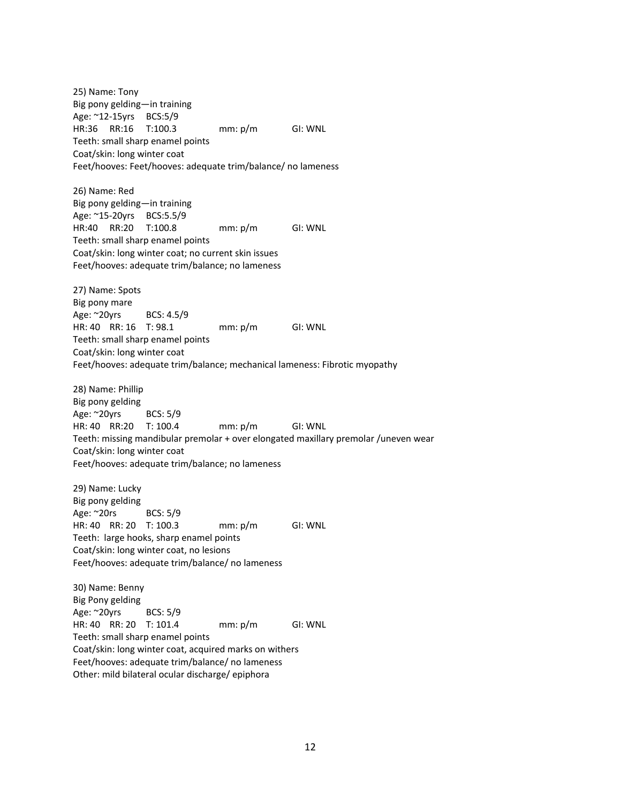25) Name: Tony Big pony gelding—in training Age: ~12-15yrs BCS:5/9 HR:36 RR:16 T:100.3 mm: p/m GI: WNL Teeth: small sharp enamel points Coat/skin: long winter coat Feet/hooves: Feet/hooves: adequate trim/balance/ no lameness

26) Name: Red Big pony gelding—in training Age: ~15-20yrs BCS:5.5/9 HR:40 RR:20 T:100.8 mm: p/m GI: WNL Teeth: small sharp enamel points Coat/skin: long winter coat; no current skin issues Feet/hooves: adequate trim/balance; no lameness

27) Name: Spots Big pony mare Age: ~20yrs BCS: 4.5/9 HR: 40 RR: 16 T: 98.1 mm: p/m GI: WNL Teeth: small sharp enamel points Coat/skin: long winter coat Feet/hooves: adequate trim/balance; mechanical lameness: Fibrotic myopathy

28) Name: Phillip Big pony gelding Age: ~20yrs BCS: 5/9 HR: 40 RR:20 T: 100.4 mm: p/m GI: WNL Teeth: missing mandibular premolar + over elongated maxillary premolar /uneven wear Coat/skin: long winter coat Feet/hooves: adequate trim/balance; no lameness

29) Name: Lucky Big pony gelding Age: ~20rs BCS: 5/9 HR: 40 RR: 20 T: 100.3 mm: p/m GI: WNL Teeth: large hooks, sharp enamel points Coat/skin: long winter coat, no lesions Feet/hooves: adequate trim/balance/ no lameness

30) Name: Benny Big Pony gelding Age: ~20yrs BCS: 5/9 HR: 40 RR: 20 T: 101.4 mm: p/m GI: WNL Teeth: small sharp enamel points Coat/skin: long winter coat, acquired marks on withers Feet/hooves: adequate trim/balance/ no lameness Other: mild bilateral ocular discharge/ epiphora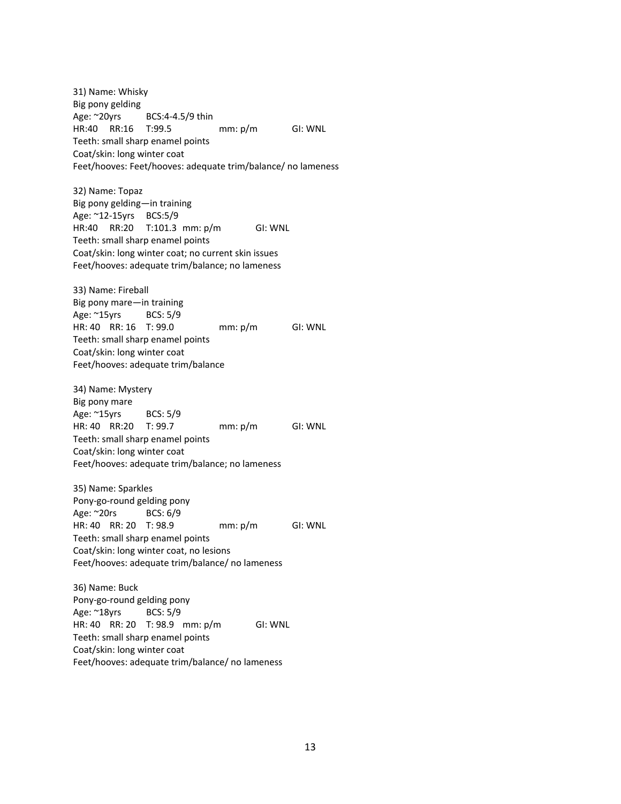31) Name: Whisky Big pony gelding Age: ~20yrs BCS:4-4.5/9 thin HR:40 RR:16 T:99.5 mm: p/m GI: WNL Teeth: small sharp enamel points Coat/skin: long winter coat Feet/hooves: Feet/hooves: adequate trim/balance/ no lameness

32) Name: Topaz Big pony gelding—in training Age: ~12-15yrs BCS:5/9 HR:40 RR:20 T:101.3 mm: p/m GI: WNL Teeth: small sharp enamel points Coat/skin: long winter coat; no current skin issues Feet/hooves: adequate trim/balance; no lameness

33) Name: Fireball Big pony mare—in training Age: ~15yrs BCS: 5/9 HR: 40 RR: 16 T: 99.0 mm: p/m GI: WNL Teeth: small sharp enamel points Coat/skin: long winter coat Feet/hooves: adequate trim/balance

34) Name: Mystery Big pony mare Age: ~15yrs BCS: 5/9 HR: 40 RR:20 T: 99.7 mm: p/m GI: WNL Teeth: small sharp enamel points Coat/skin: long winter coat Feet/hooves: adequate trim/balance; no lameness

35) Name: Sparkles Pony-go-round gelding pony Age: ~20rs BCS: 6/9 HR: 40 RR: 20 T: 98.9 mm: p/m GI: WNL Teeth: small sharp enamel points Coat/skin: long winter coat, no lesions Feet/hooves: adequate trim/balance/ no lameness

36) Name: Buck Pony-go-round gelding pony Age: ~18yrs BCS: 5/9 HR: 40 RR: 20 T: 98.9 mm: p/m GI: WNL Teeth: small sharp enamel points Coat/skin: long winter coat Feet/hooves: adequate trim/balance/ no lameness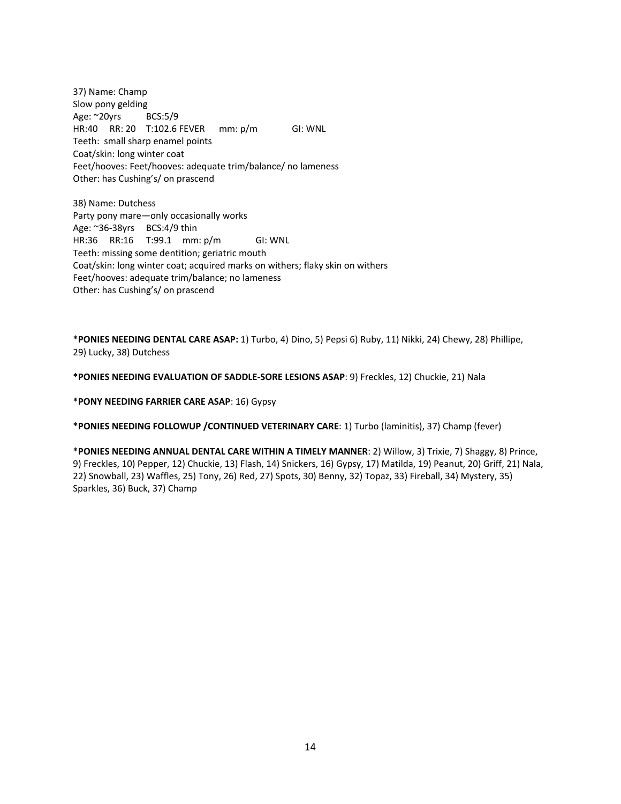37) Name: Champ Slow pony gelding Age: ~20yrs BCS:5/9 HR:40 RR: 20 T:102.6 FEVER mm: p/m GI: WNL Teeth: small sharp enamel points Coat/skin: long winter coat Feet/hooves: Feet/hooves: adequate trim/balance/ no lameness Other: has Cushing's/ on prascend

38) Name: Dutchess Party pony mare—only occasionally works Age: ~36-38yrs BCS:4/9 thin HR:36 RR:16 T:99.1 mm: p/m GI: WNL Teeth: missing some dentition; geriatric mouth Coat/skin: long winter coat; acquired marks on withers; flaky skin on withers Feet/hooves: adequate trim/balance; no lameness Other: has Cushing's/ on prascend

**\*PONIES NEEDING DENTAL CARE ASAP:** 1) Turbo, 4) Dino, 5) Pepsi 6) Ruby, 11) Nikki, 24) Chewy, 28) Phillipe, 29) Lucky, 38) Dutchess

**\*PONIES NEEDING EVALUATION OF SADDLE-SORE LESIONS ASAP**: 9) Freckles, 12) Chuckie, 21) Nala

**\*PONY NEEDING FARRIER CARE ASAP**: 16) Gypsy

**\*PONIES NEEDING FOLLOWUP /CONTINUED VETERINARY CARE**: 1) Turbo (laminitis), 37) Champ (fever)

**\*PONIES NEEDING ANNUAL DENTAL CARE WITHIN A TIMELY MANNER**: 2) Willow, 3) Trixie, 7) Shaggy, 8) Prince, 9) Freckles, 10) Pepper, 12) Chuckie, 13) Flash, 14) Snickers, 16) Gypsy, 17) Matilda, 19) Peanut, 20) Griff, 21) Nala, 22) Snowball, 23) Waffles, 25) Tony, 26) Red, 27) Spots, 30) Benny, 32) Topaz, 33) Fireball, 34) Mystery, 35) Sparkles, 36) Buck, 37) Champ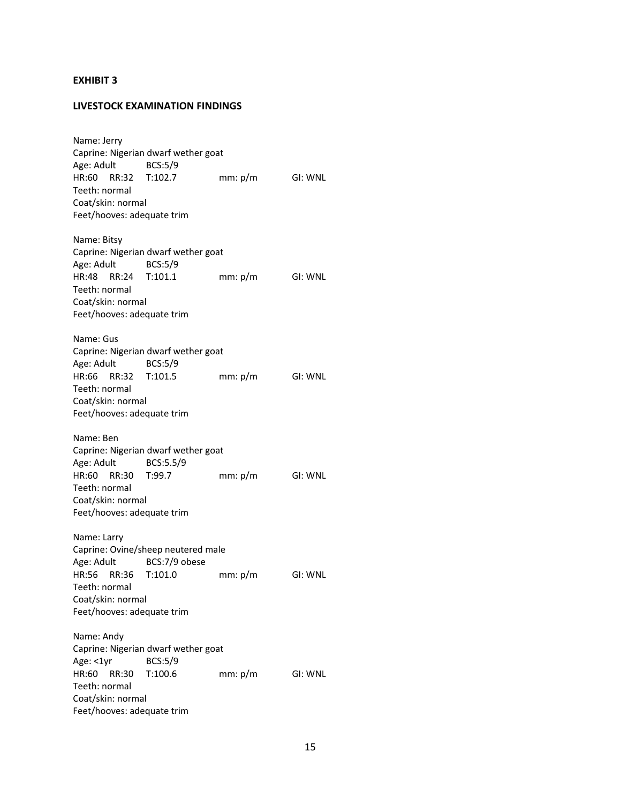#### **EXHIBIT 3**

#### **LIVESTOCK EXAMINATION FINDINGS**

Name: Jerry Caprine: Nigerian dwarf wether goat Age: Adult BCS:5/9 HR:60 RR:32 T:102.7 mm: p/m GI: WNL Teeth: normal Coat/skin: normal Feet/hooves: adequate trim Name: Bitsy Caprine: Nigerian dwarf wether goat Age: Adult BCS:5/9 HR:48 RR:24 T:101.1 mm: p/m GI: WNL Teeth: normal Coat/skin: normal Feet/hooves: adequate trim Name: Gus Caprine: Nigerian dwarf wether goat Age: Adult BCS:5/9 HR:66 RR:32 T:101.5 mm: p/m GI: WNL Teeth: normal Coat/skin: normal Feet/hooves: adequate trim Name: Ben Caprine: Nigerian dwarf wether goat Age: Adult BCS:5.5/9 HR:60 RR:30 T:99.7 mm: p/m GI: WNL Teeth: normal Coat/skin: normal Feet/hooves: adequate trim Name: Larry Caprine: Ovine/sheep neutered male Age: Adult BCS:7/9 obese HR:56 RR:36 T:101.0 mm: p/m GI: WNL Teeth: normal Coat/skin: normal Feet/hooves: adequate trim Name: Andy Caprine: Nigerian dwarf wether goat Age: <1yr BCS:5/9 HR:60 RR:30 T:100.6 mm: p/m GI: WNL Teeth: normal Coat/skin: normal Feet/hooves: adequate trim